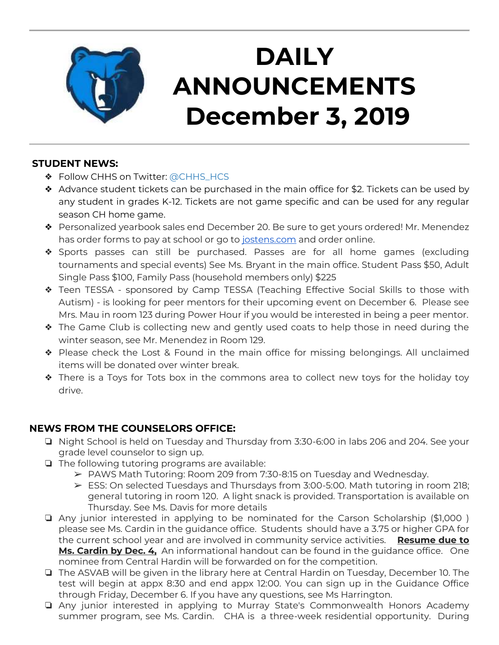

# **DAILY ANNOUNCEMENTS December 3, 2019**

### **STUDENT NEWS:**

- ❖ Follow CHHS on Twitter: [@CHHS\\_HCS](https://twitter.com/CHHS_HCS)
- ❖ Advance student tickets can be purchased in the main office for \$2. Tickets can be used by any student in grades K-12. Tickets are not game specific and can be used for any regular season CH home game.
- ❖ Personalized yearbook sales end December 20. Be sure to get yours ordered! Mr. Menendez has order forms to pay at school or go to [jostens.com](http://jostens.com/) and order online.
- ❖ Sports passes can still be purchased. Passes are for all home games (excluding tournaments and special events) See Ms. Bryant in the main office. Student Pass \$50, Adult Single Pass \$100, Family Pass (household members only) \$225
- ❖ Teen TESSA sponsored by Camp TESSA (Teaching Effective Social Skills to those with Autism) - is looking for peer mentors for their upcoming event on December 6. Please see Mrs. Mau in room 123 during Power Hour if you would be interested in being a peer mentor.
- ❖ The Game Club is collecting new and gently used coats to help those in need during the winter season, see Mr. Menendez in Room 129.
- ❖ Please check the Lost & Found in the main office for missing belongings. All unclaimed items will be donated over winter break.
- ❖ There is a Toys for Tots box in the commons area to collect new toys for the holiday toy drive.

## **NEWS FROM THE COUNSELORS OFFICE:**

- ❏ Night School is held on Tuesday and Thursday from 3:30-6:00 in labs 206 and 204. See your grade level counselor to sign up.
- ❏ The following tutoring programs are available:
	- ➢ PAWS Math Tutoring: Room 209 from 7:30-8:15 on Tuesday and Wednesday.
	- ➢ ESS: On selected Tuesdays and Thursdays from 3:00-5:00. Math tutoring in room 218; general tutoring in room 120. A light snack is provided. Transportation is available on Thursday. See Ms. Davis for more details
- ❏ Any junior interested in applying to be nominated for the Carson Scholarship (\$1,000 ) please see Ms. Cardin in the guidance office. Students should have a 3.75 or higher GPA for the current school year and are involved in community service activities. **Resume due to Ms. Cardin by Dec. 4,** An informational handout can be found in the guidance office. One nominee from Central Hardin will be forwarded on for the competition.
- ❏ The ASVAB will be given in the library here at Central Hardin on Tuesday, December 10. The test will begin at appx 8:30 and end appx 12:00. You can sign up in the Guidance Office through Friday, December 6. If you have any questions, see Ms Harrington.
- ❏ Any junior interested in applying to Murray State's Commonwealth Honors Academy summer program, see Ms. Cardin. CHA is a three-week residential opportunity. During